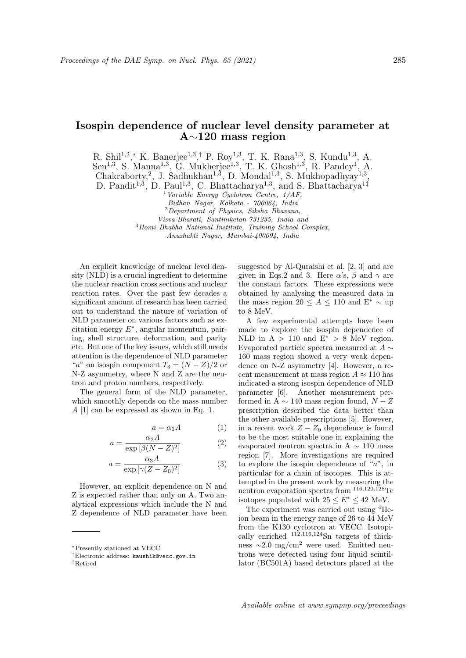## Isospin dependence of nuclear level density parameter at A∼120 mass region

R. Shil<sup>1,2</sup>,\* K. Banerjee<sup>1,3</sup>,<sup>†</sup> P. Roy<sup>1,3</sup>, T. K. Rana<sup>1,3</sup>, S. Kundu<sup>1,3</sup>, A.  $Sen^{1,3}, S.$  Manna<sup>1,3</sup>, G. Mukherjee<sup>1,3</sup>, T. K. Ghosh<sup>1,3</sup>, R. Pandey<sup>1</sup>, A. Chakraborty,<sup>2</sup>, J. Sadhukhan<sup>1,3</sup>, D. Mondal<sup>1,3</sup>, S. Mukhopadhyay<sup>1,3</sup>,

D. Pandit<sup>1,3</sup>, D. Paul<sup>1,3</sup>, C. Bhattacharya<sup>1,3</sup>, and S. Bhattacharya<sup>1‡</sup>

 $1$  Variable Energy Cyclotron Centre,  $1/AF$ ,

Bidhan Nagar, Kolkata - 700064, India

<sup>2</sup>Department of Physics, Siksha Bhavana,

Visva-Bharati, Santiniketan-731235, India and

<sup>3</sup>Homi Bhabha National Institute, Training School Complex,

Anushakti Nagar, Mumbai-400094, India

An explicit knowledge of nuclear level density (NLD) is a crucial ingredient to determine the nuclear reaction cross sections and nuclear reaction rates. Over the past few decades a significant amount of research has been carried out to understand the nature of variation of NLD parameter on various factors such as excitation energy  $E^*$ , angular momentum, pairing, shell structure, deformation, and parity etc. But one of the key issues, which still needs attention is the dependence of NLD parameter "a" on isospin component  $T_3 = (N - Z)/2$  or N-Z asymmetry, where N and Z are the neutron and proton numbers, respectively.

The general form of the NLD parameter, which smoothly depends on the mass number A [1] can be expressed as shown in Eq. 1.

$$
a = \alpha_1 A \tag{1}
$$

$$
a = \frac{\alpha_2 A}{\exp\left[\beta (N - Z)^2\right]} \tag{2}
$$

$$
a = \frac{\alpha_3 A}{\exp\left[\gamma (Z - Z_0)^2\right]} \tag{3}
$$

However, an explicit dependence on N and Z is expected rather than only on A. Two analytical expressions which include the N and Z dependence of NLD parameter have been

suggested by Al-Quraishi et al. [2, 3] and are given in Eqs.2 and 3. Here  $\alpha$ 's,  $\beta$  and  $\gamma$  are the constant factors. These expressions were obtained by analysing the measured data in the mass region 20 ≤  $A \le 110$  and E<sup>\*</sup>  $\sim$  up to 8 MeV.

A few experimental attempts have been made to explore the isospin dependence of NLD in  $A > 110$  and  $E^* > 8$  MeV region. Evaporated particle spectra measured at  $A \sim$ 160 mass region showed a very weak dependence on N-Z asymmetry [4]. However, a recent measurement at mass region  $A \approx 110$  has indicated a strong isospin dependence of NLD parameter [6]. Another measurement performed in A  $\sim$  140 mass region found,  $N - Z$ prescription described the data better than the other available prescriptions [5]. However, in a recent work  $Z - Z_0$  dependence is found to be the most suitable one in explaining the evaporated neutron spectra in A  $\sim$  110 mass region [7]. More investigations are required to explore the isospin dependence of "a", in particular for a chain of isotopes. This is attempted in the present work by measuring the neutron evaporation spectra from <sup>116</sup>,120,<sup>128</sup>Te isotopes populated with  $25 \le E^* \le 42$  MeV.

The experiment was carried out using <sup>4</sup>Heion beam in the energy range of 26 to 44 MeV from the K130 cyclotron at VECC. Isotopically enriched  $^{112,116,124}$ Sn targets of thickness  $\sim$ 2.0 mg/cm<sup>2</sup> were used. Emitted neutrons were detected using four liquid scintillator (BC501A) based detectors placed at the

<sup>∗</sup>Presently stationed at VECC

<sup>†</sup>Electronic address: kaushik@vecc.gov.in

<sup>‡</sup>Retired